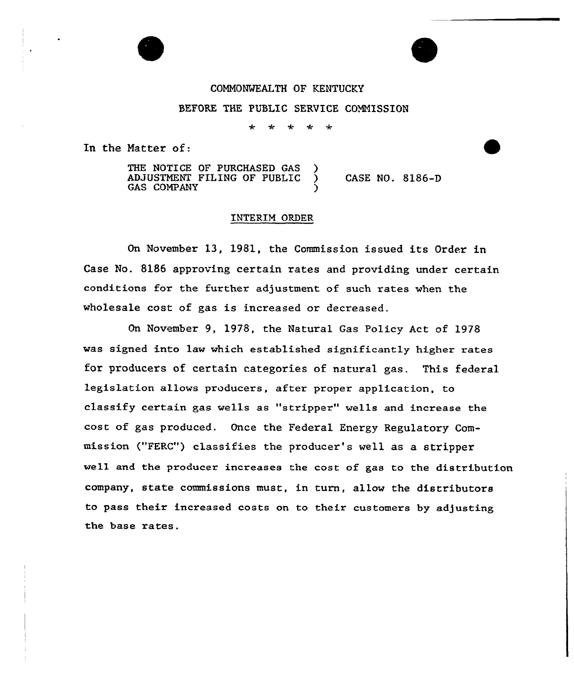## COMMONWEALTH OF KENTUCKY

BEFORE THE PUBLIC SERVICE COMMISSION

 $\star$  $\rightarrow$ ماد ÷

In the Natter of:

THE NOTICE OF PURCHASED GAS )<br>ADJUSTMENT FILING OF PUBLIC ADJUSTMENT FILING OF PUBLIC ) CASE NO. 8186-D **GAS COMPANY** 

## INTERIM ORDER

On November 13, 1981, the Commission issued its Order in Case No. 8186 approving certain rates and providing under certain conditions for the further adjustment of such rates when the wholesale cost of gas is increased or decreased.

On November 9, 1978, the Natural Gas Policy Act of 1978 vas signed into law vhich established significantly higher rates for producers of certain categories of natural gas. This federal legislation allows pxoducexs, after pxoper application, to classify certain gas veils as "stripper" wells and increase the cost of gas produced. Once the Federal Energy Regulatory Commission ("FERC") classifies the producer's well as a stripper well and the producer increases the cost of gas to the distribution company, state commissions must, in turn, allov the distributors to pass their increased costs on to their customers by adjusting the base rates.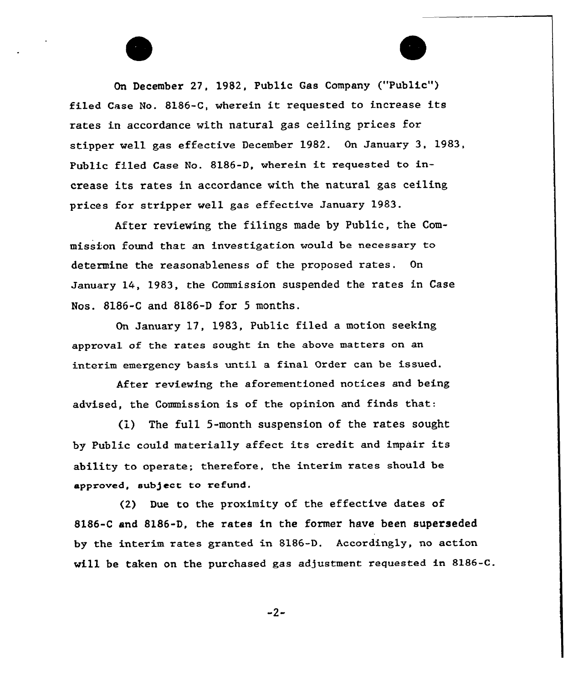On December 27, 1982, Public Gas Company ("Public") filed Case No. 81S6-C, wherein it requested to increase its rates in accordance with natural gas ceiling prices for stipper well gas effective December 1982. On January 3, 1983, Public filed Case No. 8186-D, wherein it requested to increase its rates in accordance with the natural gas ceiling prices for stripper well gas effective January 1983.

After reviewing the filings made by Public, the Commission found that an investigation would be necessary to determine the reasonableness of the proposed rates. On January 14, 1983, the Commission suspended the rates in Case Nos. 8186-C and 8186-D for 5 months.

On January 17, 1983, Public filed a motion seeking approval of the rates sought in the above matters on an interim emergency basis until a final Order can be issued.

Aftex reviewing the aforementioned notices and being advised, the Commission is of the opinion and finds that:

(1) The fu11 5-month suspension of the rates sought by Public could materially affect its credit and impair its ability to operate; therefore, the interim rates should be approved, sub)ect to refund.

(2) Due to the proximity of the effective dates of 8186-C and 8186-D, the rates in the former have been superseded by the interim rates granted in 8186-D. Accordingly, no action will be taken on the purchased gas adjustment requested in 8186-C.

 $-2-$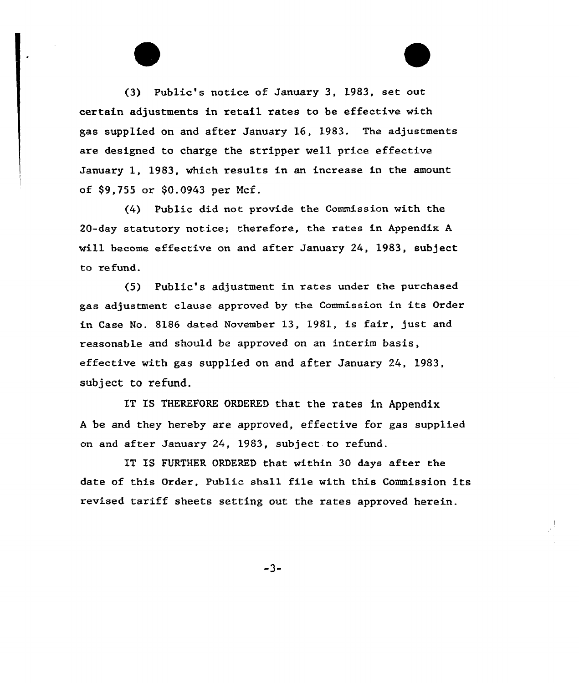(3) Public's notice of January 3, 1983, set out certain adjustments in retail rates to be effective with gas supplied on and after January 16, 1983. The adjustments are designed to charge the stripper we11 price effective January 1, 1983, which results in an increase in the amount of \$9,755 or \$0.0943 per Ncf.

(4) Public did not provide the Commission with the 20-day statutory notice; therefore, the rates in Appendix A will become effective on and after January 24, 1983, subject to refund.

(5) Public's adjustment in rates under the purchased gas adjustment clause approved by the Commission in its Order in Case No. 8186 dated November 13, 1981, is fair, just and reasonable and should be approved on an interim basis, effective with gas supplied on and after January 24, 1983, subject to refund.

IT IS THEREFORE ORDERED that the rates in Appendix <sup>A</sup> be and they hereby are approved, effective for gas supplied on and after January 24, 1983, subject to refund.

IT IS FURTHER ORDERED that within 30 days after the date of this Order, Public shall file with this Commission its revised tariff sheets setting out the rates approved herein.

-3-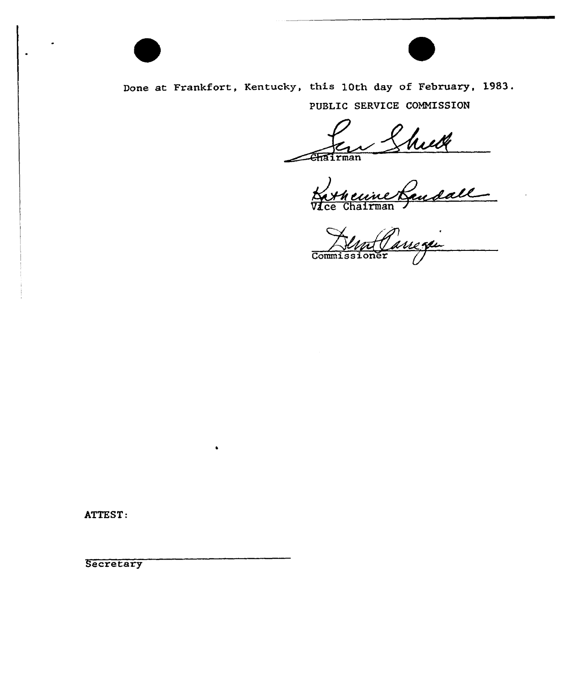

Done at Frankfort, Kentucky, this 10th day of February, 1983. PUBLIC SERVICE COMMISSION

irman

V*I*ce Chairma

Commissioner

ATTEST:

**Secretary**